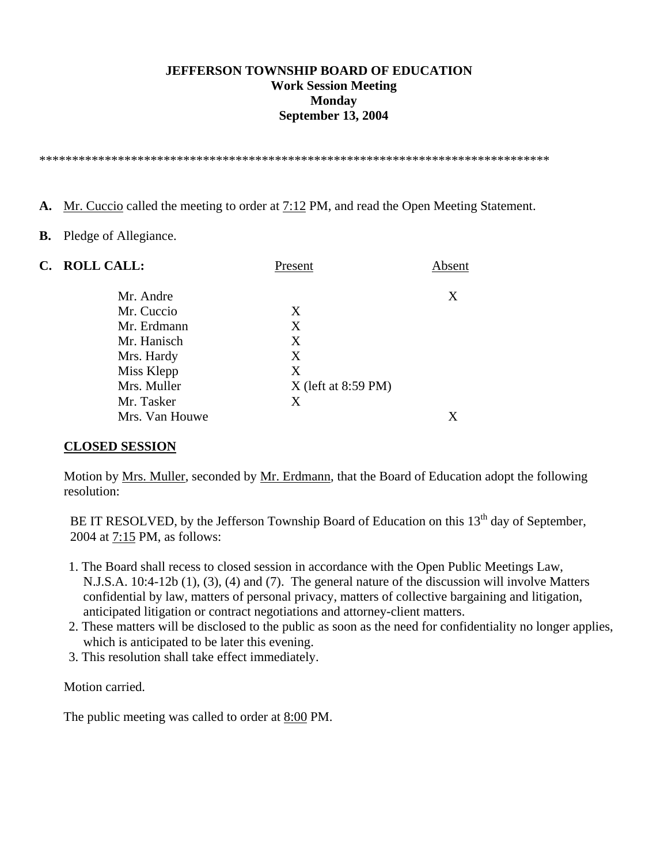#### **JEFFERSON TOWNSHIP BOARD OF EDUCATION Work Session Meeting Monday September 13, 2004**

\*\*\*\*\*\*\*\*\*\*\*\*\*\*\*\*\*\*\*\*\*\*\*\*\*\*\*\*\*\*\*\*\*\*\*\*\*\*\*\*\*\*\*\*\*\*\*\*\*\*\*\*\*\*\*\*\*\*\*\*\*\*\*\*\*\*\*\*\*\*\*\*\*\*\*\*\*\*

- **A.** Mr. Cuccio called the meeting to order at 7:12 PM, and read the Open Meeting Statement.
- **B.** Pledge of Allegiance.

|                | Present               | Absent |
|----------------|-----------------------|--------|
| Mr. Andre      |                       | X      |
| Mr. Cuccio     | X                     |        |
| Mr. Erdmann    | X                     |        |
| Mr. Hanisch    | X                     |        |
| Mrs. Hardy     | X                     |        |
| Miss Klepp     | X                     |        |
| Mrs. Muller    | $X$ (left at 8:59 PM) |        |
| Mr. Tasker     | X                     |        |
| Mrs. Van Houwe |                       |        |
|                | C. ROLL CALL:         |        |

#### **CLOSED SESSION**

 Motion by Mrs. Muller, seconded by Mr. Erdmann, that the Board of Education adopt the following resolution:

BE IT RESOLVED, by the Jefferson Township Board of Education on this 13<sup>th</sup> day of September, 2004 at 7:15 PM, as follows:

- 1. The Board shall recess to closed session in accordance with the Open Public Meetings Law, N.J.S.A. 10:4-12b (1), (3), (4) and (7). The general nature of the discussion will involve Matters confidential by law, matters of personal privacy, matters of collective bargaining and litigation, anticipated litigation or contract negotiations and attorney-client matters.
- 2. These matters will be disclosed to the public as soon as the need for confidentiality no longer applies, which is anticipated to be later this evening.
- 3. This resolution shall take effect immediately.

Motion carried.

The public meeting was called to order at 8:00 PM.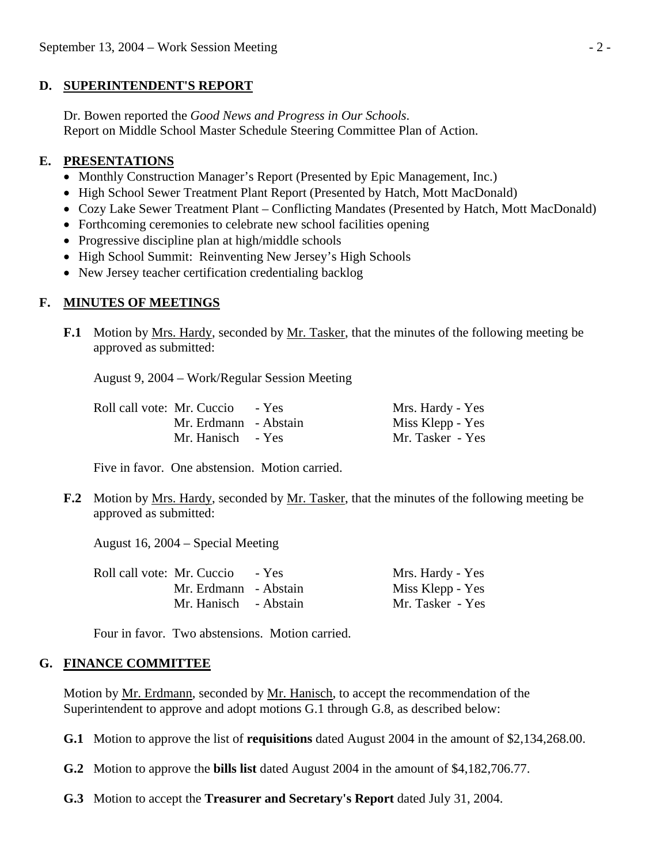## **D. SUPERINTENDENT'S REPORT**

 Dr. Bowen reported the *Good News and Progress in Our Schools*. Report on Middle School Master Schedule Steering Committee Plan of Action.

# **E. PRESENTATIONS**

- Monthly Construction Manager's Report (Presented by Epic Management, Inc.)
- High School Sewer Treatment Plant Report (Presented by Hatch, Mott MacDonald)
- Cozy Lake Sewer Treatment Plant Conflicting Mandates (Presented by Hatch, Mott MacDonald)
- Forthcoming ceremonies to celebrate new school facilities opening
- Progressive discipline plan at high/middle schools
- High School Summit: Reinventing New Jersey's High Schools
- New Jersey teacher certification credentialing backlog

# **F. MINUTES OF MEETINGS**

**F.1** Motion by Mrs. Hardy, seconded by Mr. Tasker, that the minutes of the following meeting be approved as submitted:

August 9, 2004 – Work/Regular Session Meeting

| Roll call vote: Mr. Cuccio - Yes | Mrs. Hardy - Yes |
|----------------------------------|------------------|
| Mr. Erdmann - Abstain            | Miss Klepp - Yes |
| Mr. Hanisch - Yes                | Mr. Tasker - Yes |

Five in favor. One abstension. Motion carried.

**F.2** Motion by Mrs. Hardy, seconded by Mr. Tasker, that the minutes of the following meeting be approved as submitted:

August 16, 2004 – Special Meeting

| Roll call vote: Mr. Cuccio | - Yes | Mrs. Hardy - Yes |
|----------------------------|-------|------------------|
| Mr. Erdmann - Abstain      |       | Miss Klepp - Yes |
| Mr. Hanisch - Abstain      |       | Mr. Tasker - Yes |

Four in favor. Two abstensions. Motion carried.

# **G. FINANCE COMMITTEE**

Motion by <u>Mr. Erdmann</u>, seconded by <u>Mr. Hanisch</u>, to accept the recommendation of the Superintendent to approve and adopt motions G.1 through G.8, as described below:

 **G.1** Motion to approve the list of **requisitions** dated August 2004 in the amount of \$2,134,268.00.

- **G.2** Motion to approve the **bills list** dated August 2004 in the amount of \$4,182,706.77.
- **G.3** Motion to accept the **Treasurer and Secretary's Report** dated July 31, 2004.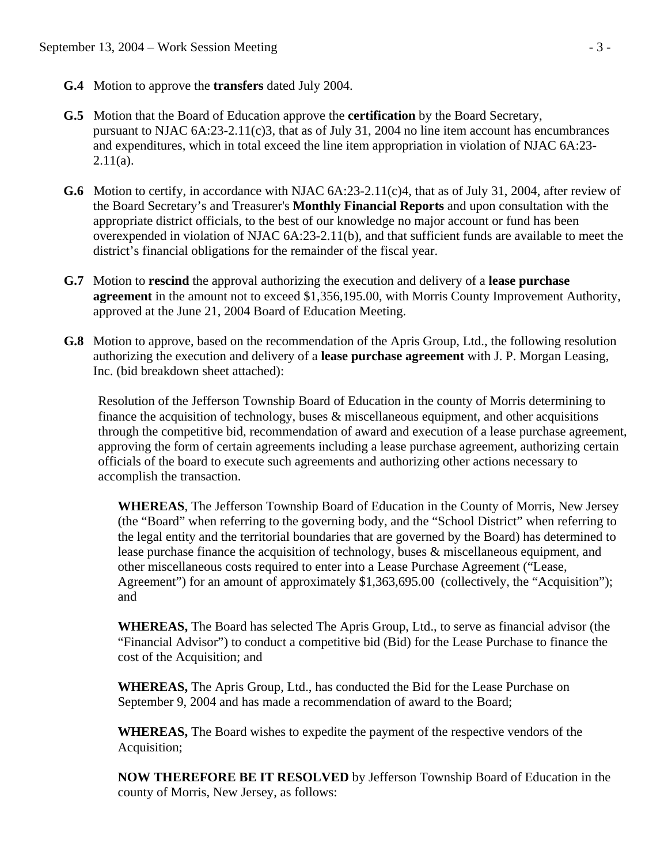- **G.4** Motion to approve the **transfers** dated July 2004.
- **G.5** Motion that the Board of Education approve the **certification** by the Board Secretary, pursuant to NJAC 6A:23-2.11(c)3, that as of July 31, 2004 no line item account has encumbrances and expenditures, which in total exceed the line item appropriation in violation of NJAC 6A:23-  $2.11(a)$ .
- **G.6** Motion to certify, in accordance with NJAC 6A:23-2.11(c)4, that as of July 31, 2004, after review of the Board Secretary's and Treasurer's **Monthly Financial Reports** and upon consultation with the appropriate district officials, to the best of our knowledge no major account or fund has been overexpended in violation of NJAC 6A:23-2.11(b), and that sufficient funds are available to meet the district's financial obligations for the remainder of the fiscal year.
- **G.7** Motion to **rescind** the approval authorizing the execution and delivery of a **lease purchase agreement** in the amount not to exceed \$1,356,195.00, with Morris County Improvement Authority, approved at the June 21, 2004 Board of Education Meeting.
- **G.8** Motion to approve, based on the recommendation of the Apris Group, Ltd., the following resolution authorizing the execution and delivery of a **lease purchase agreement** with J. P. Morgan Leasing, Inc. (bid breakdown sheet attached):

Resolution of the Jefferson Township Board of Education in the county of Morris determining to finance the acquisition of technology, buses  $\&$  miscellaneous equipment, and other acquisitions through the competitive bid, recommendation of award and execution of a lease purchase agreement, approving the form of certain agreements including a lease purchase agreement, authorizing certain officials of the board to execute such agreements and authorizing other actions necessary to accomplish the transaction.

**WHEREAS**, The Jefferson Township Board of Education in the County of Morris, New Jersey (the "Board" when referring to the governing body, and the "School District" when referring to the legal entity and the territorial boundaries that are governed by the Board) has determined to lease purchase finance the acquisition of technology, buses & miscellaneous equipment, and other miscellaneous costs required to enter into a Lease Purchase Agreement ("Lease, Agreement") for an amount of approximately \$1,363,695.00 (collectively, the "Acquisition"); and

**WHEREAS,** The Board has selected The Apris Group, Ltd., to serve as financial advisor (the "Financial Advisor") to conduct a competitive bid (Bid) for the Lease Purchase to finance the cost of the Acquisition; and

**WHEREAS,** The Apris Group, Ltd., has conducted the Bid for the Lease Purchase on September 9, 2004 and has made a recommendation of award to the Board;

**WHEREAS,** The Board wishes to expedite the payment of the respective vendors of the Acquisition;

**NOW THEREFORE BE IT RESOLVED** by Jefferson Township Board of Education in the county of Morris, New Jersey, as follows: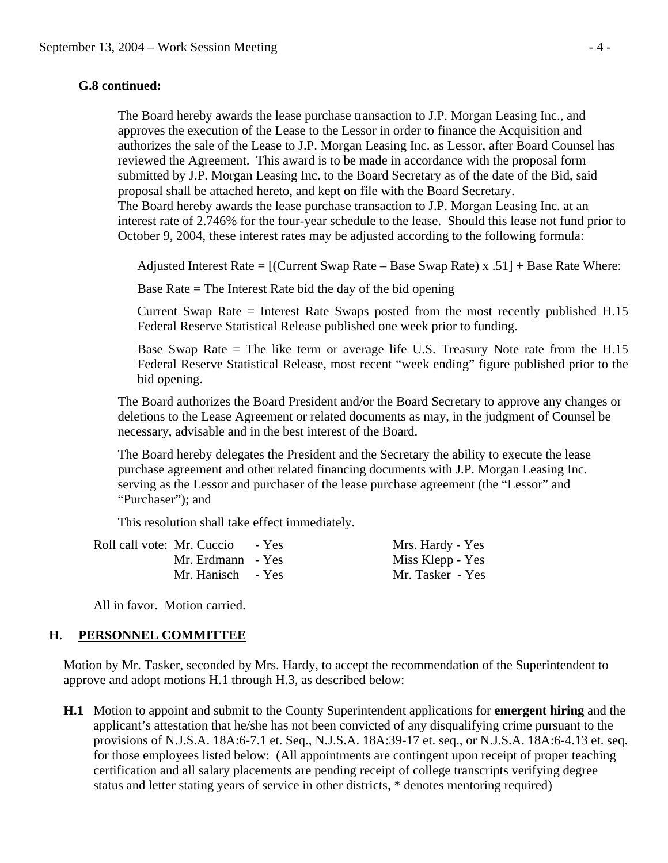## **G.8 continued:**

The Board hereby awards the lease purchase transaction to J.P. Morgan Leasing Inc., and approves the execution of the Lease to the Lessor in order to finance the Acquisition and authorizes the sale of the Lease to J.P. Morgan Leasing Inc. as Lessor, after Board Counsel has reviewed the Agreement. This award is to be made in accordance with the proposal form submitted by J.P. Morgan Leasing Inc. to the Board Secretary as of the date of the Bid, said proposal shall be attached hereto, and kept on file with the Board Secretary. The Board hereby awards the lease purchase transaction to J.P. Morgan Leasing Inc. at an interest rate of 2.746% for the four-year schedule to the lease. Should this lease not fund prior to October 9, 2004, these interest rates may be adjusted according to the following formula:

Adjusted Interest Rate = [(Current Swap Rate – Base Swap Rate) x .51] + Base Rate Where:

Base Rate  $=$  The Interest Rate bid the day of the bid opening

 Current Swap Rate = Interest Rate Swaps posted from the most recently published H.15 Federal Reserve Statistical Release published one week prior to funding.

 Base Swap Rate = The like term or average life U.S. Treasury Note rate from the H.15 Federal Reserve Statistical Release, most recent "week ending" figure published prior to the bid opening.

The Board authorizes the Board President and/or the Board Secretary to approve any changes or deletions to the Lease Agreement or related documents as may, in the judgment of Counsel be necessary, advisable and in the best interest of the Board.

The Board hereby delegates the President and the Secretary the ability to execute the lease purchase agreement and other related financing documents with J.P. Morgan Leasing Inc. serving as the Lessor and purchaser of the lease purchase agreement (the "Lessor" and "Purchaser"); and

This resolution shall take effect immediately.

| Roll call vote: Mr. Cuccio - Yes | Mrs. Hardy - Yes |
|----------------------------------|------------------|
| Mr. Erdmann - Yes                | Miss Klepp - Yes |
| Mr. Hanisch - Yes                | Mr. Tasker - Yes |

All in favor. Motion carried.

## **H**. **PERSONNEL COMMITTEE**

Motion by Mr. Tasker, seconded by Mrs. Hardy, to accept the recommendation of the Superintendent to approve and adopt motions H.1 through H.3, as described below:

 **H.1** Motion to appoint and submit to the County Superintendent applications for **emergent hiring** and the applicant's attestation that he/she has not been convicted of any disqualifying crime pursuant to the provisions of N.J.S.A. 18A:6-7.1 et. Seq., N.J.S.A. 18A:39-17 et. seq., or N.J.S.A. 18A:6-4.13 et. seq. for those employees listed below: (All appointments are contingent upon receipt of proper teaching certification and all salary placements are pending receipt of college transcripts verifying degree status and letter stating years of service in other districts, \* denotes mentoring required)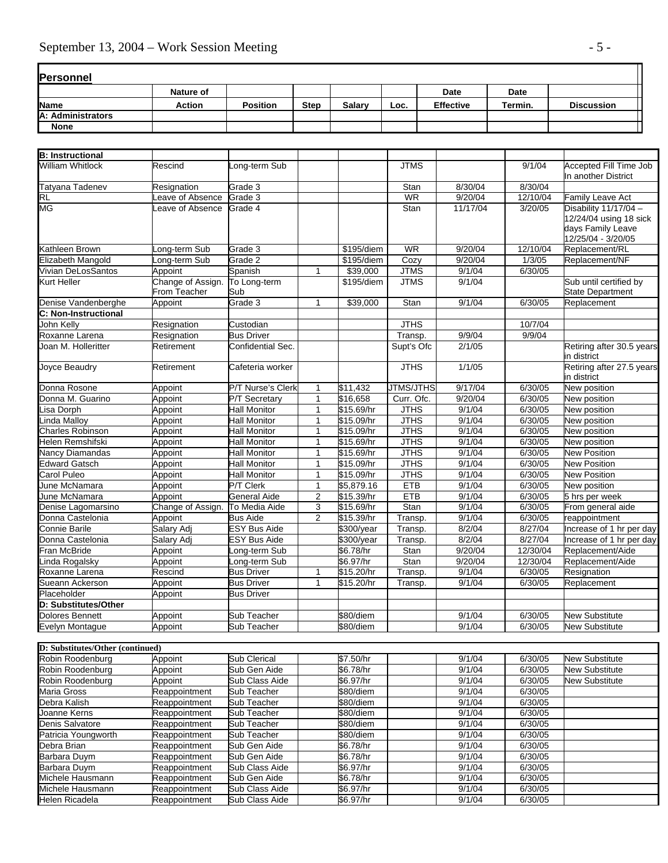| <b>Personnel</b>  |           |                 |             |               |      |                  |             |                   |
|-------------------|-----------|-----------------|-------------|---------------|------|------------------|-------------|-------------------|
|                   | Nature of |                 |             |               |      | Date             | <b>Date</b> |                   |
| <b>Name</b>       | Action    | <b>Position</b> | <b>Step</b> | <b>Salarv</b> | Loc. | <b>Effective</b> | Termin.     | <b>Discussion</b> |
| A: Administrators |           |                 |             |               |      |                  |             |                   |
| <b>None</b>       |           |                 |             |               |      |                  |             |                   |

| <b>B:</b> Instructional           |                                   |                          |                |            |             |          |          |                                                                                            |
|-----------------------------------|-----------------------------------|--------------------------|----------------|------------|-------------|----------|----------|--------------------------------------------------------------------------------------------|
| <b>William Whitlock</b>           | Rescind                           | ong-term Sub             |                |            | <b>JTMS</b> |          | 9/1/04   | <b>Accepted Fill Time Job</b><br>In another District                                       |
| Tatyana Tadenev                   | Resignation                       | Grade 3                  |                |            | Stan        | 8/30/04  | 8/30/04  |                                                                                            |
| <b>RL</b>                         | eave of Absence                   | Grade 3                  |                |            | <b>WR</b>   | 9/20/04  | 12/10/04 | Family Leave Act                                                                           |
| MG                                | eave of Absence                   | Grade 4                  |                |            | Stan        | 11/17/04 | 3/20/05  | Disability 11/17/04 -<br>12/24/04 using 18 sick<br>days Family Leave<br>12/25/04 - 3/20/05 |
| Kathleen Brown                    | Long-term Sub                     | Grade 3                  |                | \$195/diem | <b>WR</b>   | 9/20/04  | 12/10/04 | Replacement/RL                                                                             |
| Elizabeth Mangold                 | Long-term Sub                     | Grade 2                  |                | \$195/diem | Cozy        | 9/20/04  | 1/3/05   | Replacement/NF                                                                             |
| Vivian DeLosSantos                | Appoint                           | Spanish                  | $\mathbf{1}$   | \$39,000   | <b>JTMS</b> | 9/1/04   | 6/30/05  |                                                                                            |
| Kurt Heller                       | Change of Assign.<br>From Teacher | To Long-term<br>Sub      |                | \$195/diem | <b>JTMS</b> | 9/1/04   |          | Sub until certified by<br><b>State Department</b>                                          |
| Denise Vandenberghe               | Appoint                           | Grade 3                  | 1              | \$39,000   | Stan        | 9/1/04   | 6/30/05  | Replacement                                                                                |
| C: Non-Instructional              |                                   |                          |                |            |             |          |          |                                                                                            |
| John Kelly                        | Resignation                       | Custodian                |                |            | <b>JTHS</b> |          | 10/7/04  |                                                                                            |
| Roxanne Larena                    | Resignation                       | <b>Bus Driver</b>        |                |            | Transp.     | 9/9/04   | 9/9/04   |                                                                                            |
| Joan M. Holleritter               | Retirement                        | Confidential Sec.        |                |            | Supt's Ofc  | 2/1/05   |          | Retiring after 30.5 years<br>in district                                                   |
| Joyce Beaudry                     | Retirement                        | Cafeteria worker         |                |            | <b>JTHS</b> | 1/1/05   |          | Retiring after 27.5 years<br>in district                                                   |
| Donna Rosone                      | Appoint                           | <b>P/T Nurse's Clerk</b> | $\mathbf{1}$   | \$11,432   | JTMS/JTHS   | 9/17/04  | 6/30/05  | New position                                                                               |
| Donna M. Guarino                  | Appoint                           | <b>P/T Secretary</b>     | $\overline{1}$ | \$16,658   | Curr. Ofc.  | 9/20/04  | 6/30/05  | New position                                                                               |
| isa Dorph                         | Appoint                           | Hall Monitor             | $\mathbf{1}$   | \$15.69/hr | <b>JTHS</b> | 9/1/04   | 6/30/05  | New position                                                                               |
| inda Malloy                       | Appoint                           | <b>Hall Monitor</b>      | $\mathbf{1}$   | \$15.09/hr | <b>JTHS</b> | 9/1/04   | 6/30/05  | New position                                                                               |
| Charles Robinson                  | Appoint                           | <b>Hall Monitor</b>      | $\mathbf{1}$   | \$15.09/hr | <b>JTHS</b> | 9/1/04   | 6/30/05  | New position                                                                               |
| Helen Remshifski                  | Appoint                           | <b>Hall Monitor</b>      | $\mathbf{1}$   | \$15.69/hr | <b>JTHS</b> | 9/1/04   | 6/30/05  | New position                                                                               |
| <b>Vancy Diamandas</b>            | Appoint                           | <b>Hall Monitor</b>      | $\mathbf{1}$   | \$15.69/hr | <b>JTHS</b> | 9/1/04   | 6/30/05  | <b>New Position</b>                                                                        |
| Edward Gatsch                     | Appoint                           | <b>Hall Monitor</b>      | $\overline{1}$ | \$15.09/hr | <b>JTHS</b> | 9/1/04   | 6/30/05  | <b>New Position</b>                                                                        |
| Carol Puleo                       | Appoint                           | Hall Monitor             | $\mathbf{1}$   | \$15.09/hr | <b>JTHS</b> | 9/1/04   | 6/30/05  | <b>New Position</b>                                                                        |
| June McNamara                     | Appoint                           | P/T Clerk                | $\mathbf{1}$   | \$5,879.16 | <b>ETB</b>  | 9/1/04   | 6/30/05  | New position                                                                               |
| June McNamara                     | Appoint                           | General Aide             | $\overline{2}$ | \$15.39/hr | <b>ETB</b>  | 9/1/04   | 6/30/05  | 5 hrs per week                                                                             |
| Denise Lagomarsino                | Change of Assign.                 | To Media Aide            | $\mathsf 3$    | \$15.69/hr | Stan        | 9/1/04   | 6/30/05  | From general aide                                                                          |
| Donna Castelonia                  | Appoint                           | <b>Bus Aide</b>          | 2              | \$15.39/hr | Transp.     | 9/1/04   | 6/30/05  | reappointment                                                                              |
| Connie Barile                     | Salary Adj                        | <b>ESY Bus Aide</b>      |                | \$300/year | Transp.     | 8/2/04   | 8/27/04  | Increase of 1 hr per day                                                                   |
| Donna Castelonia                  | Salary Adj                        | <b>ESY Bus Aide</b>      |                | \$300/year | Transp.     | 8/2/04   | 8/27/04  | Increase of 1 hr per day                                                                   |
| Fran McBride                      | Appoint                           | ong-term Sub             |                | \$6.78/hr  | Stan        | 9/20/04  | 12/30/04 | Replacement/Aide                                                                           |
| inda Rogalsky                     | Appoint                           | ong-term Sub             |                | \$6.97/hr  | Stan        | 9/20/04  | 12/30/04 | Replacement/Aide                                                                           |
| Roxanne Larena                    | Rescind                           | <b>Bus Driver</b>        | $\mathbf{1}$   | \$15.20/hr | Transp.     | 9/1/04   | 6/30/05  | Resignation                                                                                |
| Sueann Ackerson                   | Appoint                           | <b>Bus Driver</b>        | $\mathbf{1}$   | \$15.20/hr | Transp.     | 9/1/04   | 6/30/05  | Replacement                                                                                |
| Placeholder                       | Appoint                           | <b>Bus Driver</b>        |                |            |             |          |          |                                                                                            |
| D: Substitutes/Other              |                                   |                          |                |            |             |          |          |                                                                                            |
| Dolores Bennett                   | Appoint                           | Sub Teacher              |                | \$80/diem  |             | 9/1/04   | 6/30/05  | <b>New Substitute</b>                                                                      |
| <b>Evelyn Montague</b>            | Appoint                           | Sub Teacher              |                | \$80/diem  |             | 9/1/04   | 6/30/05  | <b>New Substitute</b>                                                                      |
| $\overline{a}$ and $\overline{a}$ |                                   |                          |                |            |             |          |          |                                                                                            |

| <b>D:</b> Substitutes/Other (continued) |               |                |           |        |         |                       |
|-----------------------------------------|---------------|----------------|-----------|--------|---------|-----------------------|
| Robin Roodenburg                        | Appoint       | Sub Clerical   | \$7.50/hr | 9/1/04 | 6/30/05 | <b>New Substitute</b> |
| Robin Roodenburg                        | Appoint       | Sub Gen Aide   | \$6.78/hr | 9/1/04 | 6/30/05 | <b>New Substitute</b> |
| Robin Roodenburg                        | Appoint       | Sub Class Aide | \$6.97/hr | 9/1/04 | 6/30/05 | <b>New Substitute</b> |
| Maria Gross                             | Reappointment | Sub Teacher    | \$80/diem | 9/1/04 | 6/30/05 |                       |
| Debra Kalish                            | Reappointment | Sub Teacher    | \$80/diem | 9/1/04 | 6/30/05 |                       |
| Joanne Kerns                            | Reappointment | Sub Teacher    | \$80/diem | 9/1/04 | 6/30/05 |                       |
| Denis Salvatore                         | Reappointment | Sub Teacher    | \$80/diem | 9/1/04 | 6/30/05 |                       |
| Patricia Youngworth                     | Reappointment | Sub Teacher    | \$80/diem | 9/1/04 | 6/30/05 |                       |
| Debra Brian                             | Reappointment | Sub Gen Aide   | \$6.78/hr | 9/1/04 | 6/30/05 |                       |
| Barbara Duvm                            | Reappointment | Sub Gen Aide   | \$6.78/hr | 9/1/04 | 6/30/05 |                       |
| Barbara Duym                            | Reappointment | Sub Class Aide | \$6.97/hr | 9/1/04 | 6/30/05 |                       |
| Michele Hausmann                        | Reappointment | Sub Gen Aide   | \$6.78/hr | 9/1/04 | 6/30/05 |                       |
| Michele Hausmann                        | Reappointment | Sub Class Aide | \$6.97/hr | 9/1/04 | 6/30/05 |                       |
| Helen Ricadela                          | Reappointment | Sub Class Aide | \$6.97/hr | 9/1/04 | 6/30/05 |                       |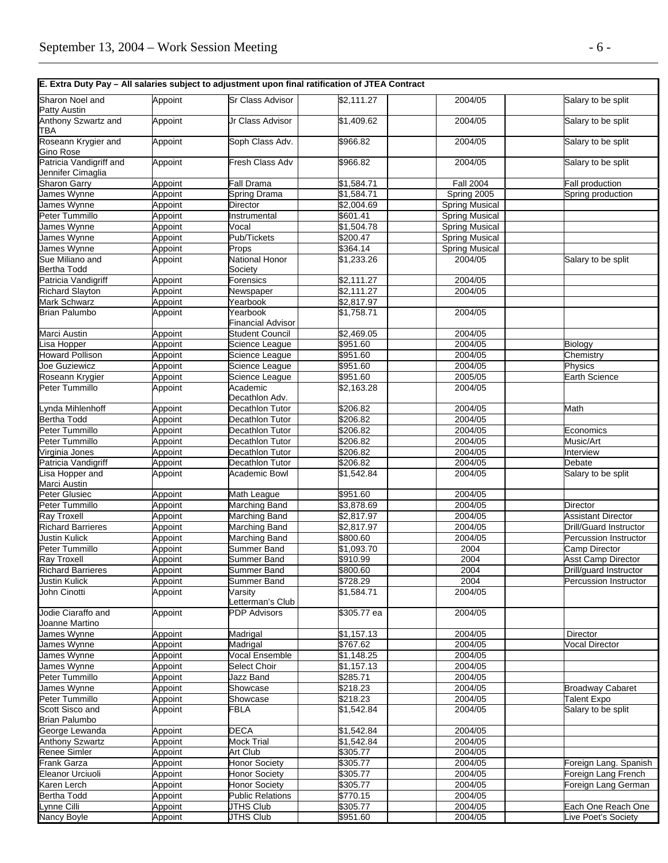|                                              |                    | E. Extra Duty Pay - All salaries subject to adjustment upon final ratification of JTEA Contract |                          |                       |                                                        |
|----------------------------------------------|--------------------|-------------------------------------------------------------------------------------------------|--------------------------|-----------------------|--------------------------------------------------------|
| Sharon Noel and<br><b>Patty Austin</b>       | Appoint            | <b>Sr Class Advisor</b>                                                                         | \$2,111.27               | 2004/05               | Salary to be split                                     |
| Anthony Szwartz and<br>TBA                   | Appoint            | Jr Class Advisor                                                                                | $\overline{1,}409.62$    | 2004/05               | Salary to be split                                     |
| Roseann Krygier and<br>Gino Rose             | Appoint            | Soph Class Adv.                                                                                 | \$966.82                 | 2004/05               | Salary to be split                                     |
| Patricia Vandigriff and<br>Jennifer Cimaglia | Appoint            | <b>Fresh Class Adv</b>                                                                          | \$966.82                 | 2004/05               | Salary to be split                                     |
| <b>Sharon Garry</b>                          | Appoint            | <b>Fall Drama</b>                                                                               | \$1,584.71               | <b>Fall 2004</b>      | Fall production                                        |
| James Wynne                                  | Appoint            | Spring Drama                                                                                    | \$1,584.71               | Spring 2005           | Spring production                                      |
| James Wynne                                  | Appoint            | <b>Director</b>                                                                                 | \$2,004.69               | <b>Spring Musical</b> |                                                        |
| Peter Tummillo                               | Appoint            | Instrumental                                                                                    | \$601.41                 | <b>Spring Musical</b> |                                                        |
| James Wynne                                  | Appoint            | Vocal                                                                                           | \$1,504.78               | <b>Spring Musical</b> |                                                        |
| James Wynne                                  | Appoint            | Pub/Tickets                                                                                     | \$200.47                 | <b>Spring Musical</b> |                                                        |
| James Wynne                                  | Appoint            | Props                                                                                           | \$364.14                 | <b>Spring Musical</b> |                                                        |
| Sue Miliano and                              | Appoint            | National Honor                                                                                  | \$1,233.26               | 2004/05               | Salary to be split                                     |
| <b>Bertha Todd</b><br>Patricia Vandigriff    |                    | Society                                                                                         | $\sqrt{$2,111.27}$       |                       |                                                        |
|                                              | Appoint            | Forensics                                                                                       |                          | 2004/05<br>2004/05    |                                                        |
| <b>Richard Slayton</b><br>Mark Schwarz       | Appoint<br>Appoint | Newspaper<br>Yearbook                                                                           | \$2,111.27<br>\$2,817.97 |                       |                                                        |
| <b>Brian Palumbo</b>                         | Appoint            | Yearbook                                                                                        | \$1,758.71               | 2004/05               |                                                        |
|                                              |                    | <b>Financial Advisor</b>                                                                        |                          |                       |                                                        |
| Marci Austin                                 | Appoint            | <b>Student Council</b>                                                                          | $\sqrt{2,469.05}$        | 2004/05               |                                                        |
| isa Hopper                                   | Appoint            | Science League                                                                                  | \$951.60                 | 2004/05               | Biology                                                |
| <b>Howard Pollison</b>                       | Appoint            | Science League                                                                                  | \$951.60                 | 2004/05               | Chemistry                                              |
| Joe Guziewicz                                | Appoint            | Science League                                                                                  | \$951.60                 | 2004/05               | Physics                                                |
| Roseann Krygier                              | Appoint            | Science League                                                                                  | \$951.60                 | 2005/05               | Earth Science                                          |
| Peter Tummillo                               | Appoint            | Academic<br>Decathlon Adv.                                                                      | \$2,163.28               | 2004/05               |                                                        |
| vnda Mihlenhoff                              | Appoint            | Decathlon Tutor                                                                                 | \$206.82                 | 2004/05               | Math                                                   |
| Bertha Todd                                  | Appoint            | Decathlon Tutor                                                                                 | \$206.82                 | 2004/05               |                                                        |
| Peter Tummillo                               | Appoint            | Decathlon Tutor                                                                                 | \$206.82                 | 2004/05               | Economics                                              |
| Peter Tummillo                               | Appoint            | Decathlon Tutor                                                                                 | \$206.82                 | 2004/05               | Music/Art                                              |
| Virginia Jones                               | Appoint            | Decathlon Tutor                                                                                 | \$206.82                 | 2004/05               | Interview                                              |
| Patricia Vandigriff                          | Appoint            | Decathlon Tutor                                                                                 | \$206.82                 | 2004/05               | Debate                                                 |
| isa Hopper and<br>Marci Austin               | Appoint            | Academic Bowl                                                                                   | \$1,542.84               | 2004/05               | Salary to be split                                     |
| <b>Peter Glusiec</b>                         | Appoint            | Math League                                                                                     | \$951.60                 | 2004/05               |                                                        |
| Peter Tummillo                               | Appoint            | Marching Band                                                                                   | \$3,878.69               | 2004/05               | <b>Director</b>                                        |
| <b>Ray Troxell</b>                           | Appoint            | Marching Band                                                                                   | \$2,817.97               | 2004/05               | <b>Assistant Director</b>                              |
| <b>Richard Barrieres</b>                     | Appoint            | Marching Band                                                                                   | \$2,817.97               | 2004/05               | Drill/Guard Instructor                                 |
| <b>Justin Kulick</b><br>Peter Tummillo       | Appoint            | Marching Band                                                                                   | \$800.60                 | 2004/05<br>2004       | Percussion Instructor                                  |
| <b>Ray Troxell</b>                           | Appoint            | Summer Band                                                                                     | \$1,093.70               |                       | Camp Director<br>Asst Camp Director                    |
|                                              | Appoint            | Summer Band                                                                                     | \$910.99<br>\$800.60     | 2004<br>2004          |                                                        |
| <b>Richard Barrieres</b><br>Justin Kulick    | Appoint<br>Appoint | Summer Band<br><b>Summer Band</b>                                                               | \$728.29                 | 2004                  | Drill/guard Instructor<br><b>Percussion Instructor</b> |
| John Cinotti                                 | Appoint            | Varsity<br>Letterman's Club                                                                     | \$1,584.71               | 2004/05               |                                                        |
| Jodie Ciaraffo and<br>Joanne Martino         | Appoint            | <b>PDP Advisors</b>                                                                             | \$305.77 ea              | 2004/05               |                                                        |
| James Wynne                                  | Appoint            | Madrigal                                                                                        | \$1,157.13               | 2004/05               | Director                                               |
| James Wynne                                  | Appoint            | Madrigal                                                                                        | \$767.62                 | 2004/05               | <b>Vocal Director</b>                                  |
|                                              | Appoint            | <b>Vocal Ensemble</b>                                                                           | \$1,148.25               | 2004/05               |                                                        |
| James Wynne<br>James Wynne                   | Appoint            | <b>Select Choir</b>                                                                             | \$1,157.13               | 2004/05               |                                                        |
| Peter Tummillo                               | Appoint            | Jazz Band                                                                                       | \$285.71                 | 2004/05               |                                                        |
| James Wynne                                  | Appoint            | Showcase                                                                                        | \$218.23                 | 2004/05               | <b>Broadway Cabaret</b>                                |
| Peter Tummillo                               | Appoint            | Showcase                                                                                        | \$218.23                 | 2004/05               | <b>Talent Expo</b>                                     |
| Scott Sisco and<br><b>Brian Palumbo</b>      | Appoint            | FBLA                                                                                            | \$1,542.84               | 2004/05               | Salary to be split                                     |
| George Lewanda                               | Appoint            | <b>DECA</b>                                                                                     | \$1,542.84               | 2004/05               |                                                        |
| <b>Anthony Szwartz</b>                       | Appoint            | <b>Mock Trial</b>                                                                               | \$1,542.84               | 2004/05               |                                                        |
| Renee Simler                                 | Appoint            | Art Club                                                                                        | \$305.77                 | 2004/05               |                                                        |
| Frank Garza                                  | Appoint            | <b>Honor Society</b>                                                                            | \$305.77                 | 2004/05               | Foreign Lang. Spanish                                  |
| Eleanor Urciuoli                             | Appoint            | <b>Honor Society</b>                                                                            | \$305.77                 | 2004/05               | Foreign Lang French                                    |
| Karen Lerch                                  | Appoint            | <b>Honor Society</b>                                                                            | \$305.77                 | 2004/05               | Foreign Lang German                                    |
| Bertha Todd                                  | Appoint            | <b>Public Relations</b>                                                                         | \$770.15                 | 2004/05               |                                                        |
| ynne Cilli                                   | Appoint            | <b>JTHS Club</b>                                                                                | \$305.77                 | 2004/05               | Each One Reach One                                     |
| Nancy Boyle                                  | Appoint            | <b>JTHS Club</b>                                                                                | \$951.60                 | 2004/05               | Live Poet's Society                                    |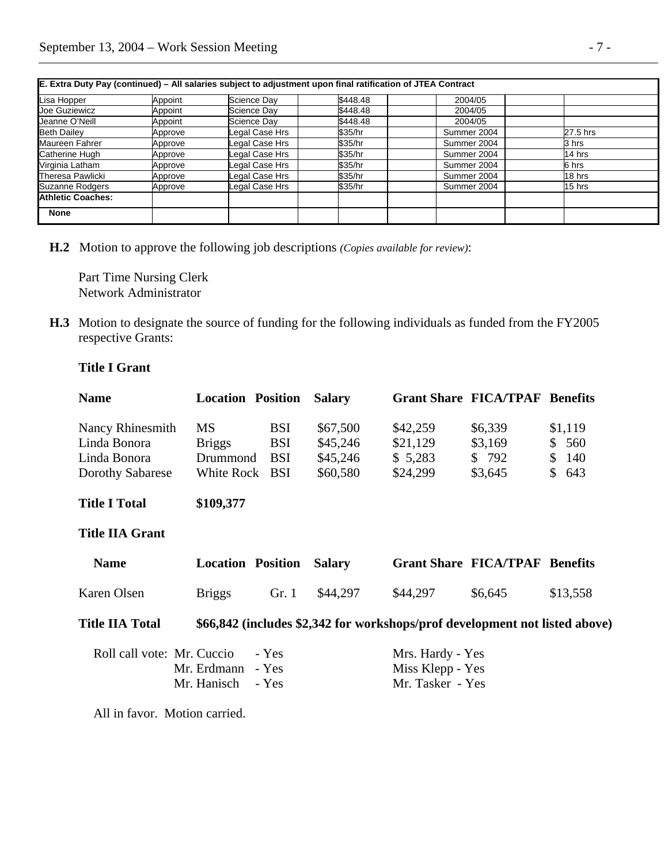| JE. Extra Duty Pay (continued) – All salaries subject to adjustment upon final ratification of JTEA Contract |         |                |          |             |          |  |  |
|--------------------------------------------------------------------------------------------------------------|---------|----------------|----------|-------------|----------|--|--|
| Lisa Hopper                                                                                                  | Appoint | Science Day    | \$448.48 | 2004/05     |          |  |  |
| Joe Guziewicz                                                                                                | Appoint | Science Day    | \$448.48 | 2004/05     |          |  |  |
| Jeanne O'Neill                                                                                               | Appoint | Science Day    | \$448.48 | 2004/05     |          |  |  |
| <b>Beth Dailey</b>                                                                                           | Approve | Legal Case Hrs | \$35/hr  | Summer 2004 | 27.5 hrs |  |  |
| Maureen Fahrer                                                                                               | Approve | Legal Case Hrs | \$35/hr  | Summer 2004 | 3 hrs    |  |  |
| Catherine Hugh                                                                                               | Approve | Legal Case Hrs | \$35/hr  | Summer 2004 | 14 hrs   |  |  |
| Virginia Latham                                                                                              | Approve | Legal Case Hrs | \$35/hr  | Summer 2004 | 6 hrs    |  |  |
| Theresa Pawlicki                                                                                             | Approve | Legal Case Hrs | \$35/hr  | Summer 2004 | 18 hrs   |  |  |
| Suzanne Rodgers                                                                                              | Approve | Legal Case Hrs | \$35/hr  | Summer 2004 | 15 hrs   |  |  |
| <b>Athletic Coaches:</b>                                                                                     |         |                |          |             |          |  |  |
| <b>None</b>                                                                                                  |         |                |          |             |          |  |  |

| E. Extra Duty Pay (continued) – All salaries subject to adjustment upon final ratification of JTEA Contract |  |  |  |
|-------------------------------------------------------------------------------------------------------------|--|--|--|
|-------------------------------------------------------------------------------------------------------------|--|--|--|

 **H.2** Motion to approve the following job descriptions *(Copies available for review)*:

 Part Time Nursing Clerk Network Administrator

**H.3** Motion to designate the source of funding for the following individuals as funded from the FY2005 respective Grants:

## **Title I Grant**

| <b>Name</b>                      | <b>Location Position</b>   |                          | <b>Salary</b>        |                                                                             | <b>Grant Share FICA/TPAF Benefits</b> |                                |
|----------------------------------|----------------------------|--------------------------|----------------------|-----------------------------------------------------------------------------|---------------------------------------|--------------------------------|
| Nancy Rhinesmith<br>Linda Bonora | <b>MS</b><br><b>Briggs</b> | <b>BSI</b><br><b>BSI</b> | \$67,500<br>\$45,246 | \$42,259<br>\$21,129                                                        | \$6,339<br>\$3,169                    | \$1,119<br>560<br>$\mathbb{S}$ |
| Linda Bonora                     | Drummond                   | <b>BSI</b>               | \$45,246             | \$5,283                                                                     | \$792                                 | 140<br>$\mathbb{S}^-$          |
| Dorothy Sabarese                 | White Rock BSI             |                          | \$60,580             | \$24,299                                                                    | \$3,645                               | 643<br>$\mathbb{S}$            |
| <b>Title I Total</b>             | \$109,377                  |                          |                      |                                                                             |                                       |                                |
| <b>Title IIA Grant</b>           |                            |                          |                      |                                                                             |                                       |                                |
| <b>Name</b>                      | <b>Location Position</b>   |                          | <b>Salary</b>        |                                                                             | <b>Grant Share FICA/TPAF Benefits</b> |                                |
| Karen Olsen                      | <b>Briggs</b>              | Gr. 1                    | \$44,297             | \$44,297                                                                    | \$6,645                               | \$13,558                       |
| <b>Title IIA Total</b>           |                            |                          |                      | \$66,842 (includes \$2,342 for workshops/prof development not listed above) |                                       |                                |
| Roll call vote: Mr. Cuccio       |                            | - Yes                    |                      | Mrs. Hardy - Yes                                                            |                                       |                                |
|                                  | Mr. Erdmann                | - Yes                    |                      | Miss Klepp - Yes                                                            |                                       |                                |
|                                  | Mr. Hanisch                | - Yes                    |                      | Mr. Tasker - Yes                                                            |                                       |                                |
|                                  |                            |                          |                      |                                                                             |                                       |                                |

All in favor. Motion carried.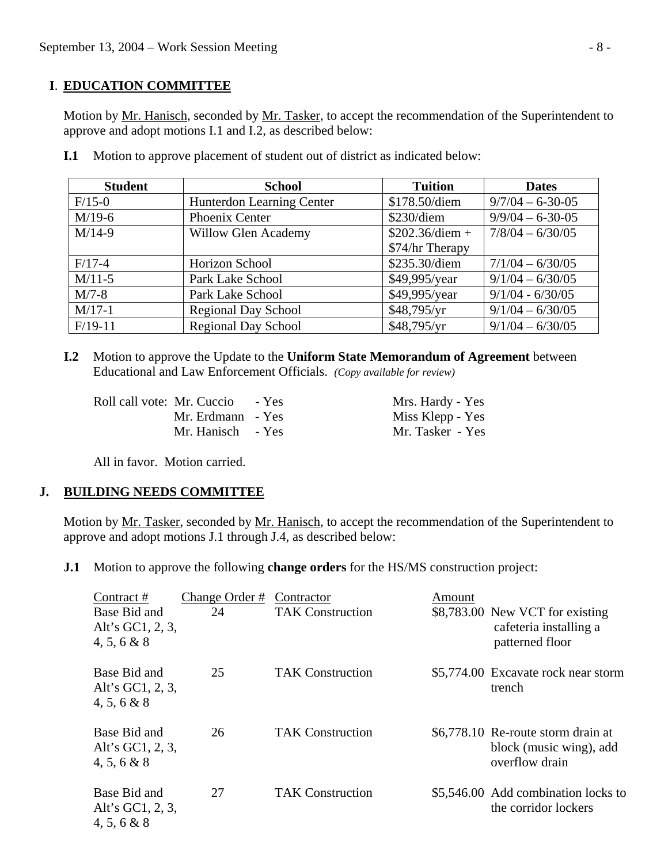#### **I**. **EDUCATION COMMITTEE**

Motion by Mr. Hanisch, seconded by Mr. Tasker, to accept the recommendation of the Superintendent to approve and adopt motions I.1 and I.2, as described below:

| <b>Student</b> | <b>School</b>                    | <b>Tuition</b>   | <b>Dates</b>       |
|----------------|----------------------------------|------------------|--------------------|
| $F/15-0$       | <b>Hunterdon Learning Center</b> | \$178.50/diem    | $9/7/04 - 6-30-05$ |
| $M/19-6$       | Phoenix Center                   | $$230$ /diem     | $9/9/04 - 6-30-05$ |
| $M/14-9$       | <b>Willow Glen Academy</b>       | $$202.36/diem +$ | $7/8/04 - 6/30/05$ |
|                |                                  | \$74/hr Therapy  |                    |
| $F/17-4$       | Horizon School                   | \$235.30/diem    | $7/1/04 - 6/30/05$ |
| $M/11-5$       | Park Lake School                 | \$49,995/year    | $9/1/04 - 6/30/05$ |
| $M/7-8$        | Park Lake School                 | \$49,995/year    | $9/1/04 - 6/30/05$ |
| $M/17-1$       | <b>Regional Day School</b>       | \$48,795/yr      | $9/1/04 - 6/30/05$ |
| $F/19-11$      | <b>Regional Day School</b>       | \$48,795/yr      | $9/1/04 - 6/30/05$ |

**I.1** Motion to approve placement of student out of district as indicated below:

 **I.2** Motion to approve the Update to the **Uniform State Memorandum of Agreement** between Educational and Law Enforcement Officials. *(Copy available for review)* 

| Roll call vote: Mr. Cuccio - Yes | Mrs. Hardy - Yes |
|----------------------------------|------------------|
| Mr. Erdmann - Yes                | Miss Klepp - Yes |
| Mr. Hanisch - Yes                | Mr. Tasker - Yes |

All in favor. Motion carried.

## **J. BUILDING NEEDS COMMITTEE**

 Motion by Mr. Tasker, seconded by Mr. Hanisch, to accept the recommendation of the Superintendent to approve and adopt motions J.1 through J.4, as described below:

**J.1** Motion to approve the following **change orders** for the HS/MS construction project:

| Contract#                                       | Change Order # | Contractor              | Amount |                                                                                 |
|-------------------------------------------------|----------------|-------------------------|--------|---------------------------------------------------------------------------------|
| Base Bid and<br>Alt's GC1, 2, 3,<br>4, 5, 6 & 8 | 24             | <b>TAK Construction</b> |        | \$8,783.00 New VCT for existing<br>cafeteria installing a<br>patterned floor    |
| Base Bid and<br>Alt's GC1, 2, 3,<br>4, 5, 6 & 8 | 25             | <b>TAK Construction</b> |        | \$5,774.00 Excavate rock near storm<br>trench                                   |
| Base Bid and<br>Alt's GC1, 2, 3,<br>4, 5, 6 & 8 | 26             | <b>TAK Construction</b> |        | \$6,778.10 Re-route storm drain at<br>block (music wing), add<br>overflow drain |
| Base Bid and<br>Alt's GC1, 2, 3,<br>4, 5, 6 & 8 | 27             | <b>TAK Construction</b> |        | \$5,546.00 Add combination locks to<br>the corridor lockers                     |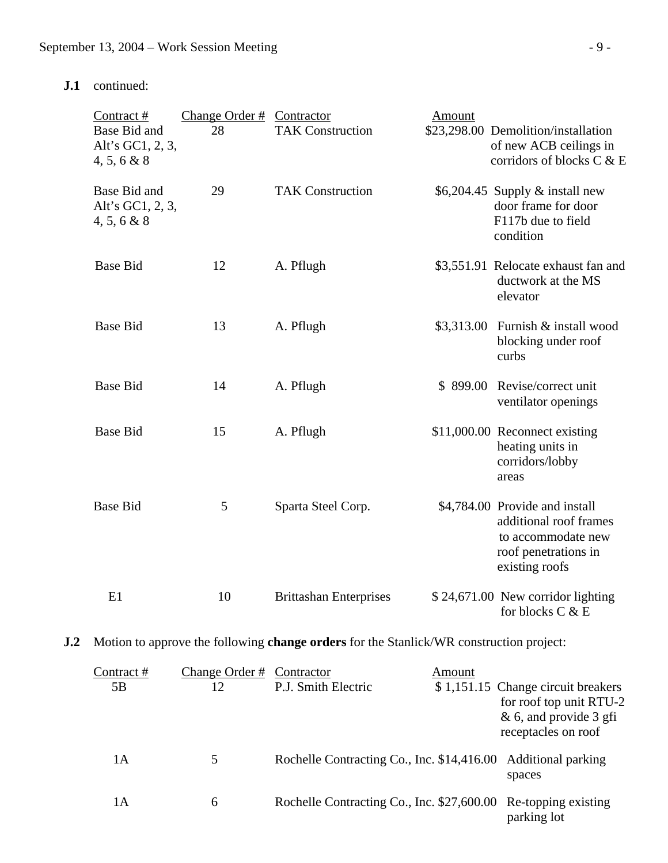# **J.1** continued:

|                | Contract $#$<br>Base Bid and<br>Alt's GC1, 2, 3,<br>4, 5, 6 & 8 | Change Order # Contractor<br>28 | <b>TAK Construction</b>                                                                 | Amount | \$23,298.00 Demolition/installation<br>of new ACB ceilings in<br>corridors of blocks C & E                               |
|----------------|-----------------------------------------------------------------|---------------------------------|-----------------------------------------------------------------------------------------|--------|--------------------------------------------------------------------------------------------------------------------------|
|                | Base Bid and<br>Alt's GC1, 2, 3,<br>4, 5, 6 & 8                 | 29                              | <b>TAK Construction</b>                                                                 |        | \$6,204.45 Supply $&$ install new<br>door frame for door<br>F117b due to field<br>condition                              |
|                | <b>Base Bid</b>                                                 | 12                              | A. Pflugh                                                                               |        | \$3,551.91 Relocate exhaust fan and<br>ductwork at the MS<br>elevator                                                    |
|                | <b>Base Bid</b>                                                 | 13                              | A. Pflugh                                                                               |        | \$3,313.00 Furnish & install wood<br>blocking under roof<br>curbs                                                        |
|                | <b>Base Bid</b>                                                 | 14                              | A. Pflugh                                                                               |        | \$899.00 Revise/correct unit<br>ventilator openings                                                                      |
|                | <b>Base Bid</b>                                                 | 15                              | A. Pflugh                                                                               |        | \$11,000.00 Reconnect existing<br>heating units in<br>corridors/lobby<br>areas                                           |
|                | <b>Base Bid</b>                                                 | 5                               | Sparta Steel Corp.                                                                      |        | \$4,784.00 Provide and install<br>additional roof frames<br>to accommodate new<br>roof penetrations in<br>existing roofs |
|                | E1                                                              | 10                              | <b>Brittashan Enterprises</b>                                                           |        | \$24,671.00 New corridor lighting<br>for blocks C & E                                                                    |
| J <sub>0</sub> |                                                                 |                                 | Motion to approve the following change orders for the Stanlick/WR construction project: |        |                                                                                                                          |
|                | the contract of the contract of the                             |                                 |                                                                                         |        |                                                                                                                          |

| Contract # | Change Order # | Contractor                                                     | Amount |                                                                                                                   |
|------------|----------------|----------------------------------------------------------------|--------|-------------------------------------------------------------------------------------------------------------------|
| 5B         | 12             | P.J. Smith Electric                                            |        | \$1,151.15 Change circuit breakers<br>for roof top unit RTU-2<br>$& 6$ , and provide 3 gfi<br>receptacles on roof |
| 1A         | 5              | Rochelle Contracting Co., Inc. \$14,416.00 Additional parking  |        | spaces                                                                                                            |
| 1А         | 6              | Rochelle Contracting Co., Inc. \$27,600.00 Re-topping existing |        | parking lot                                                                                                       |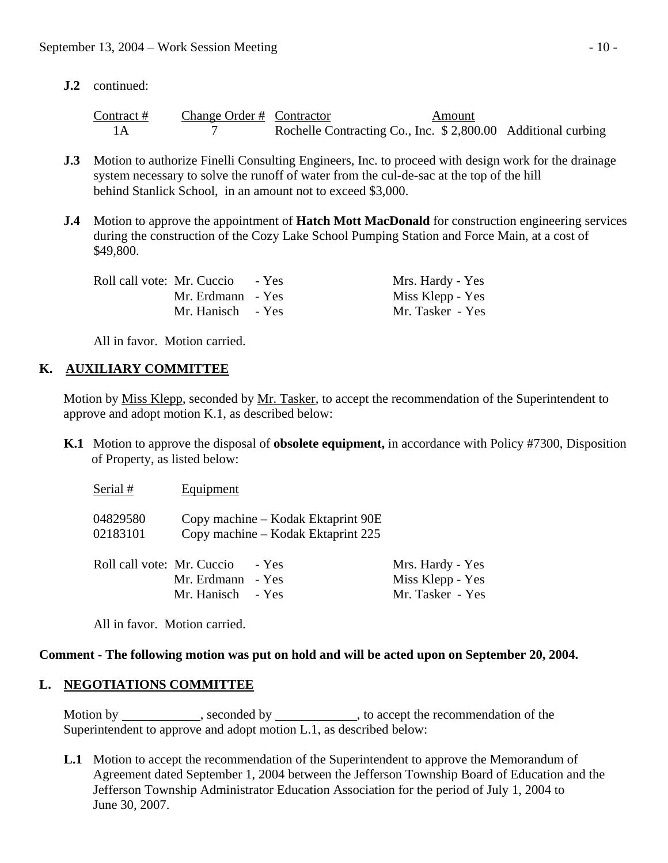**J.2** continued:

| Contract # | Change Order # Contractor |                                                               | Amount |  |
|------------|---------------------------|---------------------------------------------------------------|--------|--|
|            |                           | Rochelle Contracting Co., Inc. \$ 2,800.00 Additional curbing |        |  |

- **J.3** Motion to authorize Finelli Consulting Engineers, Inc. to proceed with design work for the drainage system necessary to solve the runoff of water from the cul-de-sac at the top of the hill behind Stanlick School, in an amount not to exceed \$3,000.
- **J.4** Motion to approve the appointment of **Hatch Mott MacDonald** for construction engineering services during the construction of the Cozy Lake School Pumping Station and Force Main, at a cost of \$49,800.

| Roll call vote: Mr. Cuccio | - Yes | Mrs. Hardy - Yes |
|----------------------------|-------|------------------|
| Mr. Erdmann - Yes          |       | Miss Klepp - Yes |
| Mr. Hanisch - Yes          |       | Mr. Tasker - Yes |

All in favor. Motion carried.

## **K. AUXILIARY COMMITTEE**

 Motion by Miss Klepp, seconded by Mr. Tasker, to accept the recommendation of the Superintendent to approve and adopt motion K.1, as described below:

 **K.1** Motion to approve the disposal of **obsolete equipment,** in accordance with Policy #7300, Disposition of Property, as listed below:

 $Serial #$  Equipment

| 04829580 | Copy machine – Kodak Ektaprint 90E |
|----------|------------------------------------|
| 02183101 | Copy machine – Kodak Ektaprint 225 |

| Roll call vote: Mr. Cuccio - Yes | Mrs. Hardy - Yes |
|----------------------------------|------------------|
| Mr. Erdmann - Yes                | Miss Klepp - Yes |
| Mr. Hanisch - Yes                | Mr. Tasker - Yes |

All in favor. Motion carried.

#### **Comment - The following motion was put on hold and will be acted upon on September 20, 2004.**

#### **L. NEGOTIATIONS COMMITTEE**

Motion by , seconded by , to accept the recommendation of the Superintendent to approve and adopt motion L.1, as described below:

 **L.1** Motion to accept the recommendation of the Superintendent to approve the Memorandum of Agreement dated September 1, 2004 between the Jefferson Township Board of Education and the Jefferson Township Administrator Education Association for the period of July 1, 2004 to June 30, 2007.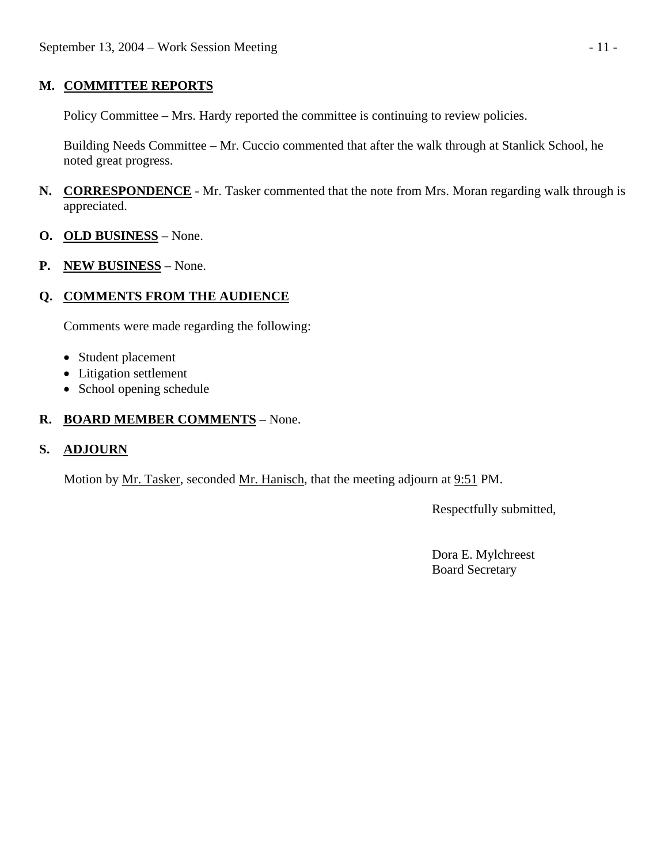#### **M. COMMITTEE REPORTS**

Policy Committee – Mrs. Hardy reported the committee is continuing to review policies.

 Building Needs Committee – Mr. Cuccio commented that after the walk through at Stanlick School, he noted great progress.

- **N. CORRESPONDENCE** Mr. Tasker commented that the note from Mrs. Moran regarding walk through is appreciated.
- **O. OLD BUSINESS** None.
- **P. NEW BUSINESS** None.

## **Q. COMMENTS FROM THE AUDIENCE**

Comments were made regarding the following:

- Student placement
- Litigation settlement
- School opening schedule

## **R. BOARD MEMBER COMMENTS** – None.

#### **S. ADJOURN**

Motion by <u>Mr. Tasker</u>, seconded <u>Mr. Hanisch</u>, that the meeting adjourn at 9:51 PM.

Respectfully submitted,

 Dora E. Mylchreest Board Secretary